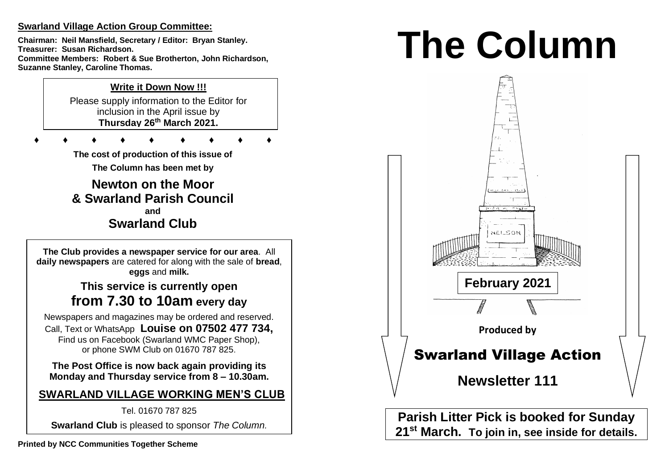# **Swarland Village Action Group Committee:**

**Chairman: Neil Mansfield, Secretary / Editor: Bryan Stanley. Treasurer: Susan Richardson. Committee Members: Robert & Sue Brotherton, John Richardson, Suzanne Stanley, Caroline Thomas.** 

# **Write it Down Now !!!**

Please supply information to the Editor for inclusion in the April issue by **Thursday 26 th March 2021.** 

**♦ ♦ ♦ ♦ ♦ ♦ ♦ ♦ ♦**

**The cost of production of this issue of** 

**The Column has been met by**

**Newton on the Moor & Swarland Parish Council and Swarland Club**

**The Club provides a newspaper service for our area**. All **daily newspapers** are catered for along with the sale of **bread**, **eggs** and **milk.**

# **This service is currently open from 7.30 to 10am every day**

Newspapers and magazines may be ordered and reserved. Call, Text or WhatsApp **Louise on 07502 477 734,**  Find us on Facebook (Swarland WMC Paper Shop), or phone SWM Club on 01670 787 825.

**The Post Office is now back again providing its Monday and Thursday service from 8 – 10.30am.** 

# **SWARLAND VILLAGE WORKING MEN'S CLUB**

Tel. 01670 787 825

**Swarland Club** is pleased to sponsor *The Column.*

# **The Column**



**Parish Litter Pick is booked for Sunday 21st March. To join in, see inside for details.**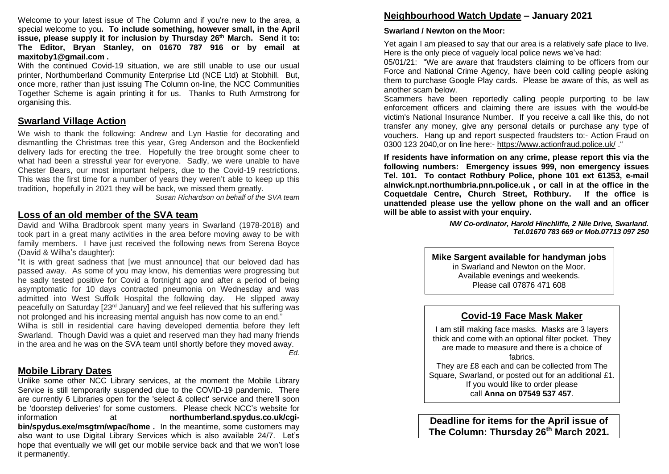Welcome to your latest issue of The Column and if you're new to the area, a special welcome to you**. To include something, however small, in the April issue, please supply it for inclusion by Thursday 26 th March. Send it to: The Editor, Bryan Stanley, on 01670 787 916 or by email at maxitoby1@gmail.com .**

With the continued Covid-19 situation, we are still unable to use our usual printer, Northumberland Community Enterprise Ltd (NCE Ltd) at Stobhill. But, once more, rather than just issuing The Column on-line, the NCC Communities Together Scheme is again printing it for us. Thanks to Ruth Armstrong for organising this.

## **Swarland Village Action**

We wish to thank the following: Andrew and Lyn Hastie for decorating and dismantling the Christmas tree this year, Greg Anderson and the Bockenfield delivery lads for erecting the tree. Hopefully the tree brought some cheer to what had been a stressful year for everyone. Sadly, we were unable to have Chester Bears, our most important helpers, due to the Covid-19 restrictions. This was the first time for a number of years they weren't able to keep up this tradition, hopefully in 2021 they will be back, we missed them greatly.

*Susan Richardson on behalf of the SVA team*

#### **Loss of an old member of the SVA team**

David and Wilha Bradbrook spent many years in Swarland (1978-2018) and took part in a great many activities in the area before moving away to be with family members. I have just received the following news from Serena Boyce (David & Wilha's daughter):

"It is with great sadness that [we must announce] that our beloved dad has passed away. As some of you may know, his dementias were progressing but he sadly tested positive for Covid a fortnight ago and after a period of being asymptomatic for 10 days contracted pneumonia on Wednesday and was admitted into West Suffolk Hospital the following day. He slipped away peacefully on Saturday [23rd January] and we feel relieved that his suffering was not prolonged and his increasing mental anguish has now come to an end."

Wilha is still in residential care having developed dementia before they left Swarland. Though David was a quiet and reserved man they had many friends in the area and he was on the SVA team until shortly before they moved away.

*Ed.*

# **Mobile Library Dates**

Unlike some other NCC Library services, at the moment the Mobile Library Service is still temporarily suspended due to the COVID-19 pandemic. There are currently 6 Libraries open for the 'select & collect' service and there'll soon be 'doorstep deliveries' for some customers. Please check NCC's website for information at **northumberland.spydus.co.uk/cgibin/spydus.exe/msgtrn/wpac/home .** In the meantime, some customers may also want to use Digital Library Services which is also available 24/7. Let's hope that eventually we will get our mobile service back and that we won't lose it permanently.

## **Neighbourhood Watch Update – January 2021**

#### **Swarland / Newton on the Moor:**

Yet again I am pleased to say that our area is a relatively safe place to live. Here is the only piece of vaguely local police news we've had:

05/01/21: "We are aware that fraudsters claiming to be officers from our Force and National Crime Agency, have been cold calling people asking them to purchase Google Play cards. Please be aware of this, as well as another scam below.

Scammers have been reportedly calling people purporting to be law enforcement officers and claiming there are issues with the would-be victim's National Insurance Number. If you receive a call like this, do not transfer any money, give any personal details or purchase any type of vouchers. Hang up and report suspected fraudsters to:- Action Fraud on 0300 123 2040,or on line here:- https://www.actionfraud.police.uk/ ."

**If residents have information on any crime, please report this via the following numbers: Emergency issues 999, non emergency issues Tel. 101. To contact Rothbury Police, phone 101 ext 61353, e-mail alnwick.npt.northumbria.pnn.police.uk , or call in at the office in the Coquetdale Centre, Church Street, Rothbury. If the office is unattended please use the yellow phone on the wall and an officer will be able to assist with your enquiry.** 

> *NW Co-ordinator, Harold Hinchliffe, 2 Nile Drive, Swarland. Tel.01670 783 669 or Mob.07713 097 250*

**Mike Sargent available for handyman jobs**

in Swarland and Newton on the Moor. Available evenings and weekends. Please call 07876 471 608

## **Covid-19 Face Mask Maker**

I am still making face masks. Masks are 3 layers thick and come with an optional filter pocket. They are made to measure and there is a choice of fabrics. They are £8 each and can be collected from The Square, Swarland, or posted out for an additional £1. If you would like to order please

call **Anna on 07549 537 457**.

**Deadline for items for the April issue of The Column: Thursday 26th March 2021.**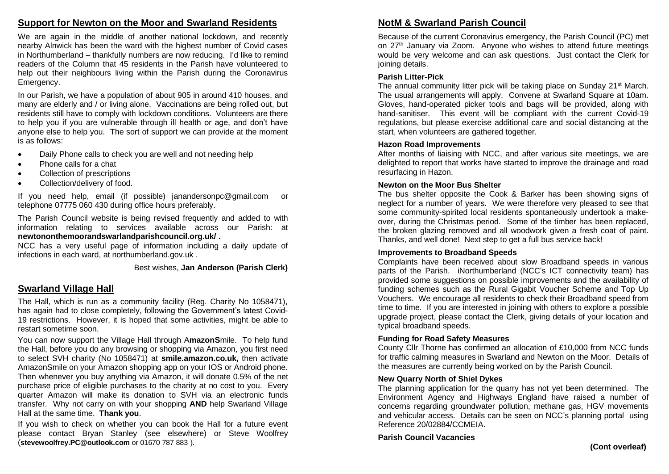# **Support for Newton on the Moor and Swarland Residents**

We are again in the middle of another national lockdown, and recently nearby Alnwick has been the ward with the highest number of Covid cases in Northumberland – thankfully numbers are now reducing. I'd like to remind readers of the Column that 45 residents in the Parish have volunteered to help out their neighbours living within the Parish during the Coronavirus Emergency.

In our Parish, we have a population of about 905 in around 410 houses, and many are elderly and / or living alone. Vaccinations are being rolled out, but residents still have to comply with lockdown conditions. Volunteers are there to help you if you are vulnerable through ill health or age, and don't have anyone else to help you. The sort of support we can provide at the moment is as follows:

- Daily Phone calls to check you are well and not needing help
- Phone calls for a chat
- Collection of prescriptions
- Collection/delivery of food.

If you need help, email (if possible) janandersonpc@gmail.com or telephone 07775 060 430 during office hours preferably.

The Parish Council website is being revised frequently and added to with information relating to services available across our Parish: at **newtononthemoorandswarlandparishcouncil.org.uk/ .**

NCC has a very useful page of information including a daily update of infections in each ward, at northumberland.gov.uk .

#### Best wishes, **Jan Anderson (Parish Clerk)**

# **Swarland Village Hall**

The Hall, which is run as a community facility (Reg. Charity No 1058471), has again had to close completely, following the Government's latest Covid-19 restrictions. However, it is hoped that some activities, might be able to restart sometime soon.

You can now support the Village Hall through A**mazonS**mile. To help fund the Hall, before you do any browsing or shopping via Amazon, you first need to select SVH charity (No 1058471) at **smile.amazon.co.uk,** then activate AmazonSmile on your Amazon shopping app on your IOS or Android phone. Then whenever you buy anything via Amazon, it will donate 0.5% of the net purchase price of eligible purchases to the charity at no cost to you. Every quarter Amazon will make its donation to SVH via an electronic funds transfer. Why not carry on with your shopping **AND** help Swarland Village Hall at the same time. **Thank you**.

If you wish to check on whether you can book the Hall for a future event please contact Bryan Stanley (see elsewhere) or Steve Woolfrey (**stevewoolfrey.PC@outlook.com** or 01670 787 883 ).

# **NotM & Swarland Parish Council**

Because of the current Coronavirus emergency, the Parish Council (PC) met on 27<sup>th</sup> January via Zoom. Anyone who wishes to attend future meetings would be very welcome and can ask questions. Just contact the Clerk for joining details.

#### **Parish Litter-Pick**

The annual community litter pick will be taking place on Sunday 21<sup>st</sup> March. The usual arrangements will apply. Convene at Swarland Square at 10am. Gloves, hand-operated picker tools and bags will be provided, along with hand-sanitiser. This event will be compliant with the current Covid-19 regulations, but please exercise additional care and social distancing at the start, when volunteers are gathered together.

#### **Hazon Road Improvements**

After months of liaising with NCC, and after various site meetings, we are delighted to report that works have started to improve the drainage and road resurfacing in Hazon.

#### **Newton on the Moor Bus Shelter**

The bus shelter opposite the Cook & Barker has been showing signs of neglect for a number of years. We were therefore very pleased to see that some community-spirited local residents spontaneously undertook a makeover, during the Christmas period. Some of the timber has been replaced, the broken glazing removed and all woodwork given a fresh coat of paint. Thanks, and well done! Next step to get a full bus service back!

#### **Improvements to Broadband Speeds**

Complaints have been received about slow Broadband speeds in various parts of the Parish. iNorthumberland (NCC's ICT connectivity team) has provided some suggestions on possible improvements and the availability of funding schemes such as the Rural Gigabit Voucher Scheme and Top Up Vouchers. We encourage all residents to check their Broadband speed from time to time. If you are interested in joining with others to explore a possible upgrade project, please contact the Clerk, giving details of your location and typical broadband speeds.

#### **Funding for Road Safety Measures**

County Cllr Thorne has confirmed an allocation of £10,000 from NCC funds for traffic calming measures in Swarland and Newton on the Moor. Details of the measures are currently being worked on by the Parish Council.

#### **New Quarry North of Shiel Dykes**

The planning application for the quarry has not yet been determined. The Environment Agency and Highways England have raised a number of concerns regarding groundwater pollution, methane gas, HGV movements and vehicular access. Details can be seen on NCC's planning portal using Reference 20/02884/CCMEIA.

#### **Parish Council Vacancies**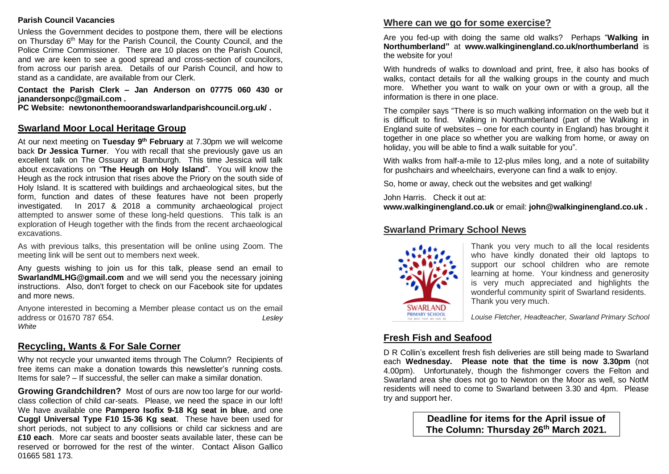#### **Parish Council Vacancies**

Unless the Government decides to postpone them, there will be elections on Thursday 6<sup>th</sup> May for the Parish Council, the County Council, and the Police Crime Commissioner. There are 10 places on the Parish Council. and we are keen to see a good spread and cross-section of councilors, from across our parish area. Details of our Parish Council, and how to stand as a candidate, are available from our Clerk.

**Contact the Parish Clerk – Jan Anderson on 07775 060 430 or janandersonpc@gmail.com .** 

**PC Website: newtononthemoorandswarlandparishcouncil.org.uk/ .**

## **Swarland Moor Local Heritage Group**

At our next meeting on **Tuesday 9th February** at 7.30pm we will welcome back **Dr Jessica Turner**. You with recall that she previously gave us an excellent talk on The Ossuary at Bamburgh. This time Jessica will talk about excavations on "**The Heugh on Holy Island**". You will know the Heugh as the rock intrusion that rises above the Priory on the south side of Holy Island. It is scattered with buildings and archaeological sites, but the form, function and dates of these features have not been properly investigated. In 2017 & 2018 a community archaeological project attempted to answer some of these long-held questions. This talk is an exploration of Heugh together with the finds from the recent archaeological excavations.

As with previous talks, this presentation will be online using Zoom. The meeting link will be sent out to members next week.

Any guests wishing to join us for this talk, please send an email to **SwarlandMLHG@gmail.com** and we will send you the necessary joining instructions. Also, don't forget to check on our Facebook site for updates and more news.

Anyone interested in becoming a Member please contact us on the email address or 01670 787 654. *Lesley White*

# **Recycling, Wants & For Sale Corner**

Why not recycle your unwanted items through The Column? Recipients of free items can make a donation towards this newsletter's running costs. Items for sale? – If successful, the seller can make a similar donation.

**Growing Grandchildren?** Most of ours are now too large for our worldclass collection of child car-seats. Please, we need the space in our loft! We have available one **Pampero Isofix 9-18 Kg seat in blue**, and one **Cuggl Universal Type F10 15-36 Kg seat**. These have been used for short periods, not subject to any collisions or child car sickness and are **£10 each**. More car seats and booster seats available later, these can be reserved or borrowed for the rest of the winter. Contact Alison Gallico 01665 581 173.

# **Where can we go for some exercise?**

Are you fed-up with doing the same old walks? Perhaps "**Walking in Northumberland"** at **www.walkinginengland.co.uk/northumberland** is the website for you!

With hundreds of walks to download and print, free, it also has books of walks, contact details for all the walking groups in the county and much more. Whether you want to walk on your own or with a group, all the information is there in one place.

The compiler says "There is so much walking information on the web but it is difficult to find. Walking in Northumberland (part of the Walking in England suite of websites – one for each county in England) has brought it together in one place so whether you are walking from home, or away on holiday, you will be able to find a walk suitable for you".

With walks from half-a-mile to 12-plus miles long, and a note of suitability for pushchairs and wheelchairs, everyone can find a walk to enjoy.

So, home or away, check out the websites and get walking!

John Harris. Check it out at:

**www.walkinginengland.co.uk** or email: **john@walkinginengland.co.uk .**

# **Swarland Primary School News**



Thank you very much to all the local residents who have kindly donated their old laptops to support our school children who are remote learning at home. Your kindness and generosity is very much appreciated and highlights the wonderful community spirit of Swarland residents. Thank you very much.

 *Louise Fletcher, Headteacher, Swarland Primary School*

# **Fresh Fish and Seafood**

D R Collin's excellent fresh fish deliveries are still being made to Swarland each **Wednesday. Please note that the time is now 3.30pm** (not 4.00pm). Unfortunately, though the fishmonger covers the Felton and Swarland area she does not go to Newton on the Moor as well, so NotM residents will need to come to Swarland between 3.30 and 4pm. Please try and support her.

> **Deadline for items for the April issue of The Column: Thursday 26 th March 2021.**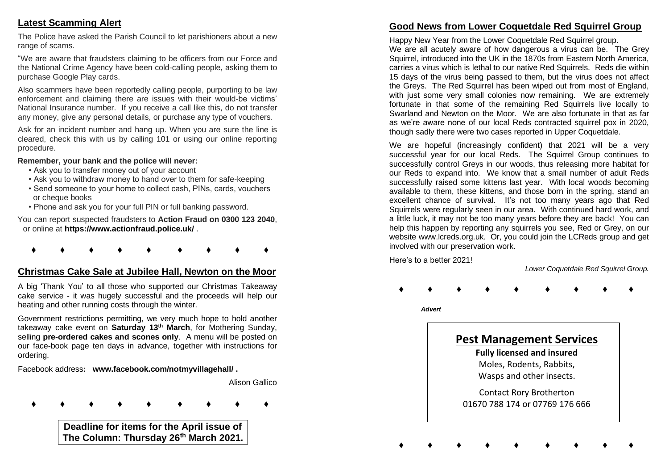# **Latest Scamming Alert**

The Police have asked the Parish Council to let parishioners about a new range of scams.

"We are aware that fraudsters claiming to be officers from our Force and the National Crime Agency have been cold-calling people, asking them to purchase Google Play cards.

Also scammers have been reportedly calling people, purporting to be law enforcement and claiming there are issues with their would-be victims' National Insurance number. If you receive a call like this, do not transfer any money, give any personal details, or purchase any type of vouchers.

Ask for an incident number and hang up. When you are sure the line is cleared, check this with us by calling 101 or using our online reporting procedure.

#### **Remember, your bank and the police will never:**

- Ask you to transfer money out of your account
- Ask you to withdraw money to hand over to them for safe-keeping
- Send someone to your home to collect cash, PINs, cards, vouchers or cheque books
- Phone and ask you for your full PIN or full banking password.

You can report suspected fraudsters to **Action Fraud on 0300 123 2040**, or online at **https://www.actionfraud.police.uk/** .

**♦ ♦ ♦ ♦ ♦ ♦ ♦ ♦ ♦**

# **Christmas Cake Sale at Jubilee Hall, Newton on the Moor**

A big 'Thank You' to all those who supported our Christmas Takeaway cake service - it was hugely successful and the proceeds will help our heating and other running costs through the winter.

Government restrictions permitting, we very much hope to hold another takeaway cake event on **Saturday 13th March**, for Mothering Sunday, selling **pre-ordered cakes and scones only**. A menu will be posted on our face-book page ten days in advance, together with instructions for ordering.

Facebook address**: www.facebook.com/notmyvillagehall/ .**

Alison Gallico

**♦ ♦ ♦ ♦ ♦ ♦ ♦ ♦ ♦**

**Deadline for items for the April issue of The Column: Thursday 26th March 2021.**

# **Good News from Lower Coquetdale Red Squirrel Group**

Happy New Year from the Lower Coquetdale Red Squirrel group. We are all acutely aware of how dangerous a virus can be. The Grey Squirrel, introduced into the UK in the 1870s from Eastern North America. carries a virus which is lethal to our native Red Squirrels. Reds die within 15 days of the virus being passed to them, but the virus does not affect the Greys. The Red Squirrel has been wiped out from most of England, with just some very small colonies now remaining. We are extremely fortunate in that some of the remaining Red Squirrels live locally to Swarland and Newton on the Moor. We are also fortunate in that as far as we're aware none of our local Reds contracted squirrel pox in 2020, though sadly there were two cases reported in Upper Coquetdale.

We are hopeful (increasingly confident) that 2021 will be a very successful year for our local Reds. The Squirrel Group continues to successfully control Greys in our woods, thus releasing more habitat for our Reds to expand into. We know that a small number of adult Reds successfully raised some kittens last year. With local woods becoming available to them, these kittens, and those born in the spring, stand an excellent chance of survival. It's not too many years ago that Red Squirrels were regularly seen in our area. With continued hard work, and a little luck, it may not be too many years before they are back! You can help this happen by reporting any squirrels you see, Red or Grey, on our website www.lcreds.org.uk. Or, you could join the LCReds group and get involved with our preservation work.

Here's to a better 2021!

*Lower Coquetdale Red Squirrel Group.*

**♦ ♦ ♦ ♦ ♦ ♦ ♦ ♦ ♦**

 *Advert*



Moles, Rodents, Rabbits, Wasps and other insects.

Contact Rory Brotherton 01670 788 174 or 07769 176 666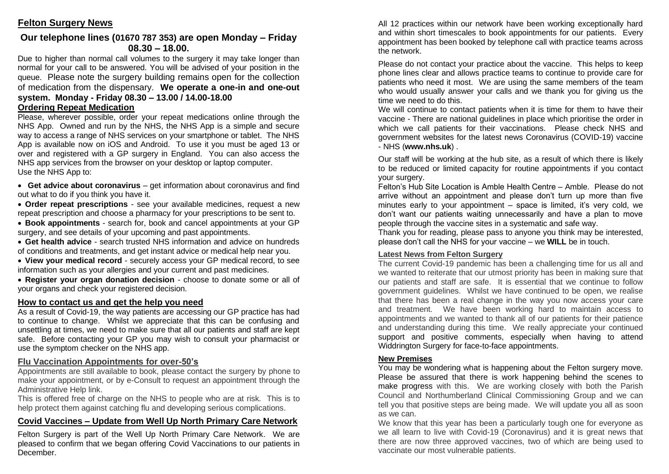# **Our telephone lines (01670 787 353) are open Monday – Friday 08.30 – 18.00.**

Due to higher than normal call volumes to the surgery it may take longer than normal for your call to be answered. You will be advised of your position in the queue. Please note the surgery building remains open for the collection of medication from the dispensary. **We operate a one-in and one-out system. Monday - Friday 08.30 – 13.00 / 14.00-18.00**

# **Ordering Repeat Medication**

Please, wherever possible, order your repeat medications online through the NHS App. Owned and run by the NHS, the NHS App is a simple and secure way to access a range of NHS services on your smartphone or tablet. The NHS App is available now on iOS and Android. To use it you must be aged 13 or over and registered with a GP surgery in England. You can also access the NHS app services from the browser on your desktop or laptop computer. Use the NHS App to:

• **Get advice about coronavirus** – get information about coronavirus and find out what to do if you think you have it.

• **Order repeat prescriptions** - see your available medicines, request a new repeat prescription and choose a pharmacy for your prescriptions to be sent to.

• **Book appointments** - search for, book and cancel appointments at your GP surgery, and see details of your upcoming and past appointments.

• **Get health advice** - search trusted NHS information and advice on hundreds of conditions and treatments, and get instant advice or medical help near you.

• **View your medical record** - securely access your GP medical record, to see information such as your allergies and your current and past medicines.

• **Register your organ donation decision** - choose to donate some or all of your organs and check your registered decision.

## **How to contact us and get the help you need**

As a result of Covid-19, the way patients are accessing our GP practice has had to continue to change. Whilst we appreciate that this can be confusing and unsettling at times, we need to make sure that all our patients and staff are kept safe. Before contacting your GP you may wish to consult your pharmacist or use the symptom checker on the NHS app.

# **Flu Vaccination Appointments for over-50's**

Appointments are still available to book, please contact the surgery by phone to make your appointment, or by e-Consult to request an appointment through the Administrative Help link.

This is offered free of charge on the NHS to people who are at risk. This is to help protect them against catching flu and developing serious complications.

# **Covid Vaccines – Update from Well Up North Primary Care Network**

Felton Surgery is part of the Well Up North Primary Care Network. We are pleased to confirm that we began offering Covid Vaccinations to our patients in **December** 

All 12 practices within our network have been working exceptionally hard and within short timescales to book appointments for our patients. Every appointment has been booked by telephone call with practice teams across the network.

Please do not contact your practice about the vaccine. This helps to keep phone lines clear and allows practice teams to continue to provide care for patients who need it most. We are using the same members of the team who would usually answer your calls and we thank you for giving us the time we need to do this.

We will continue to contact patients when it is time for them to have their vaccine - There are national guidelines in place which prioritise the order in which we call patients for their vaccinations. Please check NHS and government websites for the latest news Coronavirus (COVID-19) vaccine - NHS (**www.nhs.uk**) .

Our staff will be working at the hub site, as a result of which there is likely to be reduced or limited capacity for routine appointments if you contact your surgery.

Felton's Hub Site Location is Amble Health Centre – Amble. Please do not arrive without an appointment and please don't turn up more than five minutes early to your appointment – space is limited, it's very cold, we don't want our patients waiting unnecessarily and have a plan to move people through the vaccine sites in a systematic and safe way.

Thank you for reading, please pass to anyone you think may be interested, please don't call the NHS for your vaccine – we **WILL** be in touch.

# **Latest News from Felton Surgery**

The current Covid-19 pandemic has been a challenging time for us all and we wanted to reiterate that our utmost priority has been in making sure that our patients and staff are safe. It is essential that we continue to follow government guidelines. Whilst we have continued to be open, we realise that there has been a real change in the way you now access your care and treatment. We have been working hard to maintain access to appointments and we wanted to thank all of our patients for their patience and understanding during this time. We really appreciate your continued support and positive comments, especially when having to attend Widdrington Surgery for face-to-face appointments.

# **New Premises**

You may be wondering what is happening about the Felton surgery move. Please be assured that there is work happening behind the scenes to make progress with this. We are working closely with both the Parish Council and Northumberland Clinical Commissioning Group and we can tell you that positive steps are being made. We will update you all as soon as we can.

We know that this year has been a particularly tough one for everyone as we all learn to live with Covid-19 (Coronavirus) and it is great news that there are now three approved vaccines, two of which are being used to vaccinate our most vulnerable patients.